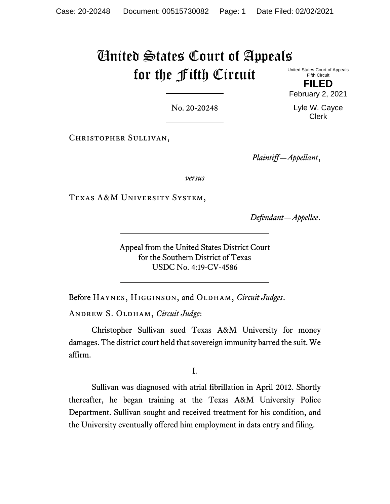# United States Court of Appeals for the Fifth Circuit

United States Court of Appeals Fifth Circuit **FILED**

February 2, 2021

No. 20-20248

Christopher Sullivan,

*Plaintiff—Appellant*,

*versus*

Texas A&M University System,

*Defendant—Appellee*.

Appeal from the United States District Court for the Southern District of Texas USDC No. 4:19-CV-4586

Before HAYNES, HIGGINSON, and OLDHAM, *Circuit Judges*.

Andrew S. Oldham, *Circuit Judge*:

Christopher Sullivan sued Texas A&M University for money damages. The district court held that sovereign immunity barred the suit. We affirm.

I.

Sullivan was diagnosed with atrial fibrillation in April 2012. Shortly thereafter, he began training at the Texas A&M University Police Department. Sullivan sought and received treatment for his condition, and the University eventually offered him employment in data entry and filing.

Lyle W. Cayce Clerk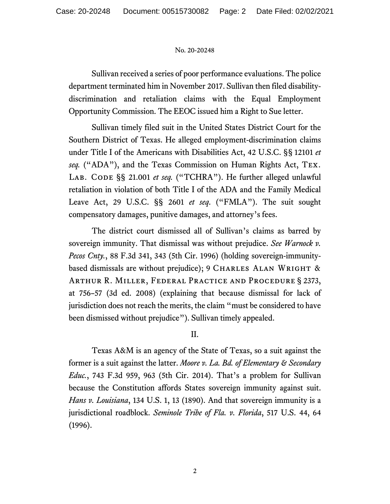Sullivan received a series of poor performance evaluations. The police department terminated him in November 2017. Sullivan then filed disabilitydiscrimination and retaliation claims with the Equal Employment Opportunity Commission. The EEOC issued him a Right to Sue letter.

Sullivan timely filed suit in the United States District Court for the Southern District of Texas. He alleged employment-discrimination claims under Title I of the Americans with Disabilities Act, 42 U.S.C. §§ 12101 *et seq.* ("ADA"), and the Texas Commission on Human Rights Act, Tex. LAB. CODE §§ 21.001 et seq. ("TCHRA"). He further alleged unlawful retaliation in violation of both Title I of the ADA and the Family Medical Leave Act, 29 U.S.C. §§ 2601 *et seq*. ("FMLA"). The suit sought compensatory damages, punitive damages, and attorney's fees.

The district court dismissed all of Sullivan's claims as barred by sovereign immunity. That dismissal was without prejudice. *See Warnock v. Pecos Cnty.*, 88 F.3d 341, 343 (5th Cir. 1996) (holding sovereign-immunitybased dismissals are without prejudice); 9 CHARLES ALAN WRIGHT  $\&$ Arthur R. Miller, Federal Practice and Procedure § 2373, at 756–57 (3d ed. 2008) (explaining that because dismissal for lack of jurisdiction does not reach the merits, the claim "must be considered to have been dismissed without prejudice"). Sullivan timely appealed.

II.

Texas A&M is an agency of the State of Texas, so a suit against the former is a suit against the latter. *Moore v. La. Bd. of Elementary & Secondary Educ.*, 743 F.3d 959, 963 (5th Cir. 2014). That's a problem for Sullivan because the Constitution affords States sovereign immunity against suit. *Hans v. Louisiana*, 134 U.S. 1, 13 (1890). And that sovereign immunity is a jurisdictional roadblock. *Seminole Tribe of Fla. v. Florida*, 517 U.S. 44, 64 (1996).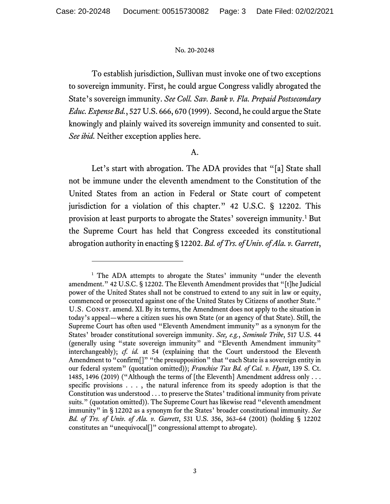To establish jurisdiction, Sullivan must invoke one of two exceptions to sovereign immunity. First, he could argue Congress validly abrogated the State's sovereign immunity. *See Coll. Sav. Bank v. Fla. Prepaid Postsecondary Educ. Expense Bd.*, 527 U.S. 666, 670 (1999). Second, he could argue the State knowingly and plainly waived its sovereign immunity and consented to suit. *See ibid.* Neither exception applies here.

# A.

Let's start with abrogation. The ADA provides that "[a] State shall not be immune under the eleventh amendment to the Constitution of the United States from an action in Federal or State court of competent jurisdiction for a violation of this chapter." 42 U.S.C. § 12202. This provision at least purports to abrogate the States' sovereign immunity.[1](#page-2-0) But the Supreme Court has held that Congress exceeded its constitutional abrogation authority in enacting § 12202. *Bd. of Trs. of Univ. of Ala. v. Garrett*,

<span id="page-2-0"></span><sup>&</sup>lt;sup>1</sup> The ADA attempts to abrogate the States' immunity "under the eleventh amendment." 42 U.S.C. § 12202. The Eleventh Amendment provides that "[t]he Judicial power of the United States shall not be construed to extend to any suit in law or equity, commenced or prosecuted against one of the United States by Citizens of another State." U.S. Const. amend. XI. By its terms, the Amendment does not apply to the situation in today's appeal—where a citizen sues his own State (or an agency of that State). Still, the Supreme Court has often used "Eleventh Amendment immunity" as a synonym for the States' broader constitutional sovereign immunity. *See, e.g.*, *Seminole Tribe*, 517 U.S. 44 (generally using "state sovereign immunity" and "Eleventh Amendment immunity" interchangeably); *cf. id.* at 54 (explaining that the Court understood the Eleventh Amendment to "confirm<sup>[]"</sup> "the presupposition" that "each State is a sovereign entity in our federal system" (quotation omitted)); *Franchise Tax Bd. of Cal. v. Hyatt*, 139 S. Ct. 1485, 1496 (2019) ("Although the terms of [the Eleventh] Amendment address only . . . specific provisions . . . , the natural inference from its speedy adoption is that the Constitution was understood . . . to preserve the States' traditional immunity from private suits." (quotation omitted)). The Supreme Court has likewise read "eleventh amendment immunity" in § 12202 as a synonym for the States' broader constitutional immunity. *See Bd. of Trs. of Univ. of Ala. v. Garrett*, 531 U.S. 356, 363–64 (2001) (holding § 12202 constitutes an "unequivocal[]" congressional attempt to abrogate).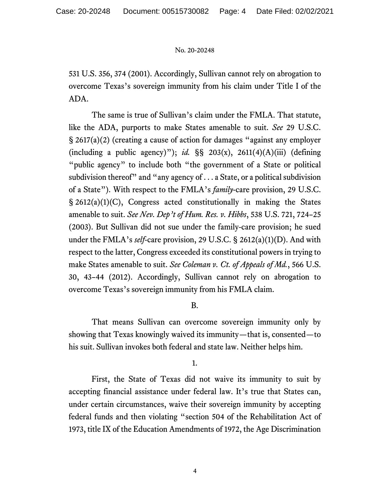531 U.S. 356, 374 (2001). Accordingly, Sullivan cannot rely on abrogation to overcome Texas's sovereign immunity from his claim under Title I of the ADA.

The same is true of Sullivan's claim under the FMLA. That statute, like the ADA, purports to make States amenable to suit. *See* 29 U.S.C. § 2617(a)(2) (creating a cause of action for damages "against any employer (including a public agency)"); *id.*  $\S$ § 203(x), 2611(4)(A)(iii) (defining "public agency" to include both "the government of a State or political subdivision thereof" and "any agency of  $\dots$  a State, or a political subdivision of a State"). With respect to the FMLA's *family*-care provision, 29 U.S.C. § 2612(a)(1)(C), Congress acted constitutionally in making the States amenable to suit. *See Nev. Dep't of Hum. Res. v. Hibbs*, 538 U.S. 721, 724–25 (2003). But Sullivan did not sue under the family-care provision; he sued under the FMLA's *self*-care provision, 29 U.S.C. § 2612(a)(1)(D). And with respect to the latter, Congress exceeded its constitutional powers in trying to make States amenable to suit. *See Coleman v. Ct. of Appeals of Md.*, 566 U.S. 30, 43–44 (2012). Accordingly, Sullivan cannot rely on abrogation to overcome Texas's sovereign immunity from his FMLA claim.

# B.

That means Sullivan can overcome sovereign immunity only by showing that Texas knowingly waived its immunity—that is, consented—to his suit. Sullivan invokes both federal and state law. Neither helps him.

## 1.

First, the State of Texas did not waive its immunity to suit by accepting financial assistance under federal law. It's true that States can, under certain circumstances, waive their sovereign immunity by accepting federal funds and then violating "section 504 of the Rehabilitation Act of 1973, title IX of the Education Amendments of 1972, the Age Discrimination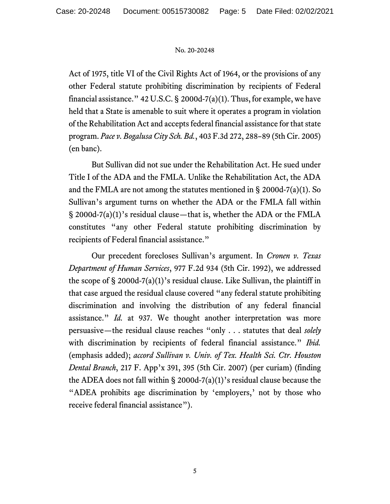Act of 1975, title VI of the Civil Rights Act of 1964, or the provisions of any other Federal statute prohibiting discrimination by recipients of Federal financial assistance."  $42$  U.S.C. § 2000d-7(a)(1). Thus, for example, we have held that a State is amenable to suit where it operates a program in violation of the Rehabilitation Act and accepts federal financial assistance for that state program. *Pace v. Bogalusa City Sch. Bd.*, 403 F.3d 272, 288–89 (5th Cir. 2005) (en banc).

But Sullivan did not sue under the Rehabilitation Act. He sued under Title I of the ADA and the FMLA. Unlike the Rehabilitation Act, the ADA and the FMLA are not among the statutes mentioned in § 2000d-7(a)(1). So Sullivan's argument turns on whether the ADA or the FMLA fall within § 2000d-7(a)(1)'s residual clause—that is, whether the ADA or the FMLA constitutes "any other Federal statute prohibiting discrimination by recipients of Federal financial assistance."

Our precedent forecloses Sullivan's argument. In *Cronen v. Texas Department of Human Services*, 977 F.2d 934 (5th Cir. 1992), we addressed the scope of  $\S$  2000d-7(a)(1)'s residual clause. Like Sullivan, the plaintiff in that case argued the residual clause covered "any federal statute prohibiting discrimination and involving the distribution of any federal financial assistance." *Id.* at 937. We thought another interpretation was more persuasive—the residual clause reaches "only . . . statutes that deal *solely* with discrimination by recipients of federal financial assistance." *Ibid.* (emphasis added); *accord Sullivan v. Univ. of Tex. Health Sci. Ctr. Houston Dental Branch*, 217 F. App'x 391, 395 (5th Cir. 2007) (per curiam) (finding the ADEA does not fall within § 2000d-7(a)(1)'s residual clause because the "ADEA prohibits age discrimination by 'employers,' not by those who receive federal financial assistance").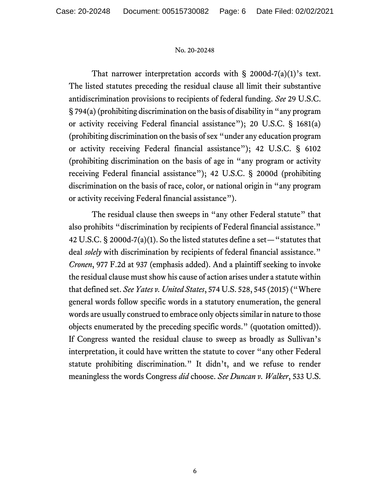That narrower interpretation accords with  $\S$  2000d-7(a)(1)'s text. The listed statutes preceding the residual clause all limit their substantive antidiscrimination provisions to recipients of federal funding. *See* 29 U.S.C. § 794(a) (prohibiting discrimination on the basis of disability in "any program or activity receiving Federal financial assistance"); 20 U.S.C. § 1681(a) (prohibiting discrimination on the basis of sex "under any education program or activity receiving Federal financial assistance"); 42 U.S.C. § 6102 (prohibiting discrimination on the basis of age in "any program or activity receiving Federal financial assistance"); 42 U.S.C. § 2000d (prohibiting discrimination on the basis of race, color, or national origin in "any program or activity receiving Federal financial assistance").

The residual clause then sweeps in "any other Federal statute" that also prohibits "discrimination by recipients of Federal financial assistance." 42 U.S.C. § 2000d-7(a)(1). So the listed statutes define a set—"statutes that deal *solely* with discrimination by recipients of federal financial assistance." *Cronen*, 977 F.2d at 937 (emphasis added). And a plaintiff seeking to invoke the residual clause must show his cause of action arises under a statute within that defined set. *See Yates v. United States*, 574 U.S. 528, 545 (2015) ("Where general words follow specific words in a statutory enumeration, the general words are usually construed to embrace only objects similar in nature to those objects enumerated by the preceding specific words." (quotation omitted)). If Congress wanted the residual clause to sweep as broadly as Sullivan's interpretation, it could have written the statute to cover "any other Federal statute prohibiting discrimination." It didn't, and we refuse to render meaningless the words Congress *did* choose. *See Duncan v. Walker*, 533 U.S.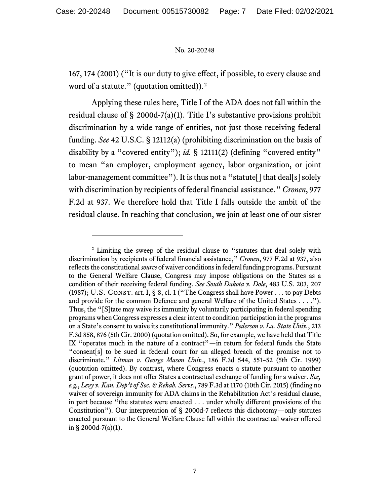167, 174 (2001) ("It is our duty to give effect, if possible, to every clause and word of a statute." (quotation omitted)).<sup>[2](#page-6-0)</sup>

Applying these rules here, Title I of the ADA does not fall within the residual clause of  $\S$  2000d-7(a)(1). Title I's substantive provisions prohibit discrimination by a wide range of entities, not just those receiving federal funding. *See* 42 U.S.C. § 12112(a) (prohibiting discrimination on the basis of disability by a "covered entity"); *id.* § 12111(2) (defining "covered entity" to mean "an employer, employment agency, labor organization, or joint labor-management committee"). It is thus not a "statute<sup>[]</sup> that deal<sup>[s]</sup> solely with discrimination by recipients of federal financial assistance." *Cronen*, 977 F.2d at 937. We therefore hold that Title I falls outside the ambit of the residual clause. In reaching that conclusion, we join at least one of our sister

<span id="page-6-0"></span><sup>&</sup>lt;sup>2</sup> Limiting the sweep of the residual clause to "statutes that deal solely with discrimination by recipients of federal financial assistance," *Cronen*, 977 F.2d at 937, also reflects the constitutional *source* of waiver conditions in federal funding programs. Pursuant to the General Welfare Clause, Congress may impose obligations on the States as a condition of their receiving federal funding. *See South Dakota v. Dole*, 483 U.S. 203, 207 (1987); U.S. CONST. art. I, § 8, cl. 1 ("The Congress shall have Power . . . to pay Debts and provide for the common Defence and general Welfare of the United States . . . ."). Thus, the "[S]tate may waive its immunity by voluntarily participating in federal spending programs when Congress expresses a clear intent to condition participation in the programs on a State's consent to waive its constitutional immunity." *Pederson v. La. State Univ.*, 213 F.3d 858, 876 (5th Cir. 2000) (quotation omitted). So, for example, we have held that Title IX "operates much in the nature of a contract"—in return for federal funds the State "consent[s] to be sued in federal court for an alleged breach of the promise not to discriminate." *Litman v. George Mason Univ.*, 186 F.3d 544, 551–52 (5th Cir. 1999) (quotation omitted). By contrast, where Congress enacts a statute pursuant to another grant of power, it does not offer States a contractual exchange of funding for a waiver. *See, e.g.*, *Levy v. Kan. Dep't of Soc. & Rehab. Servs.*, 789 F.3d at 1170 (10th Cir. 2015) (finding no waiver of sovereign immunity for ADA claims in the Rehabilitation Act's residual clause, in part because "the statutes were enacted . . . under wholly different provisions of the Constitution"). Our interpretation of § 2000d-7 reflects this dichotomy—only statutes enacted pursuant to the General Welfare Clause fall within the contractual waiver offered in § 2000d-7(a)(1).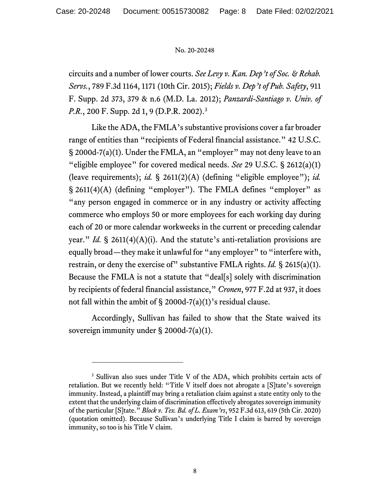circuits and a number of lower courts. *See Levy v. Kan. Dep't of Soc. & Rehab. Servs.*, 789 F.3d 1164, 1171 (10th Cir. 2015); *Fields v. Dep't of Pub. Safety*, 911 F. Supp. 2d 373, 379 & n.6 (M.D. La. 2012); *Panzardi-Santiago v. Univ. of P.R.*, 200 F. Supp. 2d 1, 9 (D.P.R. 2002). [3](#page-7-0)

Like the ADA, the FMLA's substantive provisions cover a far broader range of entities than "recipients of Federal financial assistance." 42 U.S.C. § 2000d-7(a)(1). Under the FMLA, an "employer" may not deny leave to an "eligible employee" for covered medical needs. *See* 29 U.S.C. § 2612(a)(1) (leave requirements); *id.* § 2611(2)(A) (defining "eligible employee"); *id.* § 2611(4)(A) (defining "employer"). The FMLA defines "employer" as "any person engaged in commerce or in any industry or activity affecting commerce who employs 50 or more employees for each working day during each of 20 or more calendar workweeks in the current or preceding calendar year." *Id.* § 2611(4)(A)(i). And the statute's anti-retaliation provisions are equally broad—they make it unlawful for "any employer" to "interfere with, restrain, or deny the exercise of" substantive FMLA rights. *Id.* § 2615(a)(1). Because the FMLA is not a statute that "deal[s] solely with discrimination by recipients of federal financial assistance," *Cronen*, 977 F.2d at 937, it does not fall within the ambit of § 2000d-7(a)(1)'s residual clause.

Accordingly, Sullivan has failed to show that the State waived its sovereign immunity under § 2000d-7(a)(1).

<span id="page-7-0"></span><sup>3</sup> Sullivan also sues under Title V of the ADA, which prohibits certain acts of retaliation. But we recently held: "Title V itself does not abrogate a [S]tate's sovereign immunity. Instead, a plaintiff may bring a retaliation claim against a state entity only to the extent that the underlying claim of discrimination effectively abrogates sovereign immunity of the particular [S]tate." *Block v. Tex. Bd. of L. Exam'rs*, 952 F.3d 613, 619 (5th Cir. 2020) (quotation omitted). Because Sullivan's underlying Title I claim is barred by sovereign immunity, so too is his Title V claim.